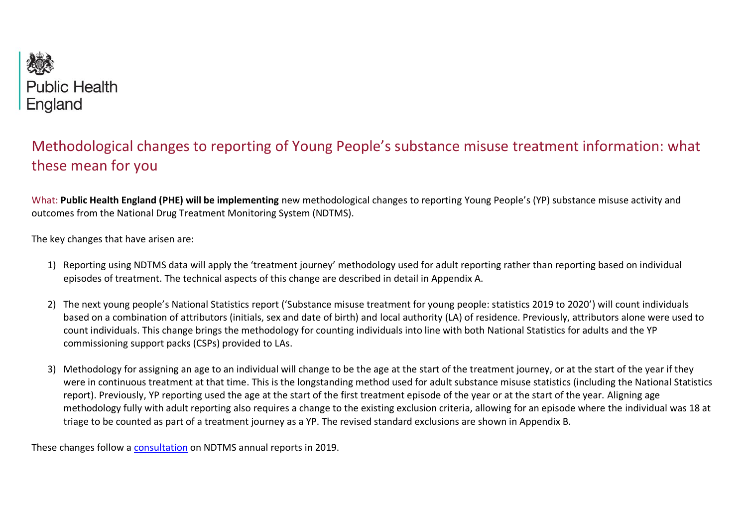

## Methodological changes to reporting of Young People's substance misuse treatment information: what these mean for you

What: **Public Health England (PHE) will be implementing** new methodological changes to reporting Young People's (YP) substance misuse activity and outcomes from the National Drug Treatment Monitoring System (NDTMS).

The key changes that have arisen are:

- 1) Reporting using NDTMS data will apply the 'treatment journey' methodology used for adult reporting rather than reporting based on individual episodes of treatment. The technical aspects of this change are described in detail in Appendix A.
- 2) The next young people's National Statistics report ('Substance misuse treatment for young people: statistics 2019 to 2020') will count individuals based on a combination of attributors (initials, sex and date of birth) and local authority (LA) of residence. Previously, attributors alone were used to count individuals. This change brings the methodology for counting individuals into line with both National Statistics for adults and the YP commissioning support packs (CSPs) provided to LAs.
- 3) Methodology for assigning an age to an individual will change to be the age at the start of the treatment journey, or at the start of the year if they were in continuous treatment at that time. This is the longstanding method used for adult substance misuse statistics (including the National Statistics report). Previously, YP reporting used the age at the start of the first treatment episode of the year or at the start of the year. Aligning age methodology fully with adult reporting also requires a change to the existing exclusion criteria, allowing for an episode where the individual was 18 at triage to be counted as part of a treatment journey as a YP. The revised standard exclusions are shown in Appendix B.

These changes follow a [consultation](https://www.gov.uk/government/consultations/ndtms-annual-reports-and-methodology-proposed-changes/proposed-changes-to-ndtms-annual-reports-and-young-peoples-report-methodology-2019) on NDTMS annual reports in 2019.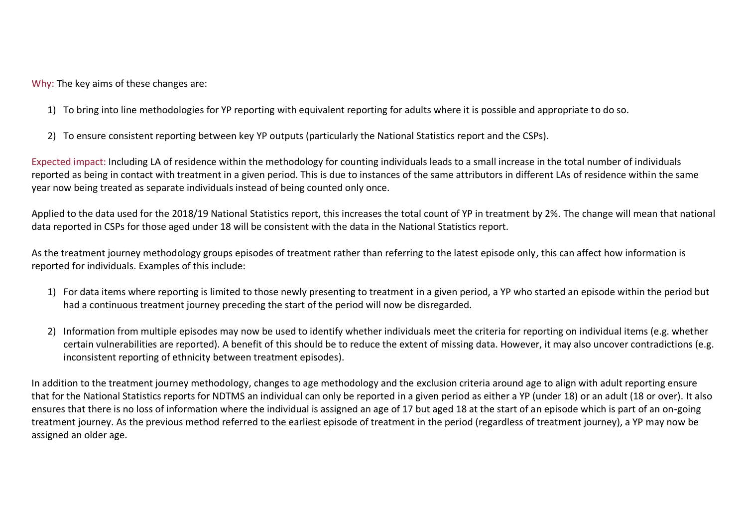Why: The key aims of these changes are:

- 1) To bring into line methodologies for YP reporting with equivalent reporting for adults where it is possible and appropriate to do so.
- 2) To ensure consistent reporting between key YP outputs (particularly the National Statistics report and the CSPs).

Expected impact: Including LA of residence within the methodology for counting individuals leads to a small increase in the total number of individuals reported as being in contact with treatment in a given period. This is due to instances of the same attributors in different LAs of residence within the same year now being treated as separate individuals instead of being counted only once.

Applied to the data used for the 2018/19 National Statistics report, this increases the total count of YP in treatment by 2%. The change will mean that national data reported in CSPs for those aged under 18 will be consistent with the data in the National Statistics report.

As the treatment journey methodology groups episodes of treatment rather than referring to the latest episode only, this can affect how information is reported for individuals. Examples of this include:

- 1) For data items where reporting is limited to those newly presenting to treatment in a given period, a YP who started an episode within the period but had a continuous treatment journey preceding the start of the period will now be disregarded.
- 2) Information from multiple episodes may now be used to identify whether individuals meet the criteria for reporting on individual items (e.g. whether certain vulnerabilities are reported). A benefit of this should be to reduce the extent of missing data. However, it may also uncover contradictions (e.g. inconsistent reporting of ethnicity between treatment episodes).

In addition to the treatment journey methodology, changes to age methodology and the exclusion criteria around age to align with adult reporting ensure that for the National Statistics reports for NDTMS an individual can only be reported in a given period as either a YP (under 18) or an adult (18 or over). It also ensures that there is no loss of information where the individual is assigned an age of 17 but aged 18 at the start of an episode which is part of an on-going treatment journey. As the previous method referred to the earliest episode of treatment in the period (regardless of treatment journey), a YP may now be assigned an older age.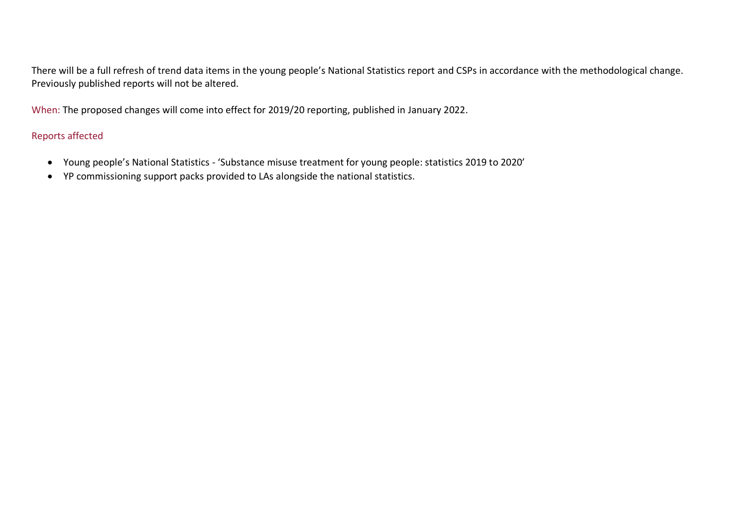There will be a full refresh of trend data items in the young people's National Statistics report and CSPs in accordance with the methodological change. Previously published reports will not be altered.

When: The proposed changes will come into effect for 2019/20 reporting, published in January 2022.

## Reports affected

- Young people's National Statistics 'Substance misuse treatment for young people: statistics 2019 to 2020'
- YP commissioning support packs provided to LAs alongside the national statistics.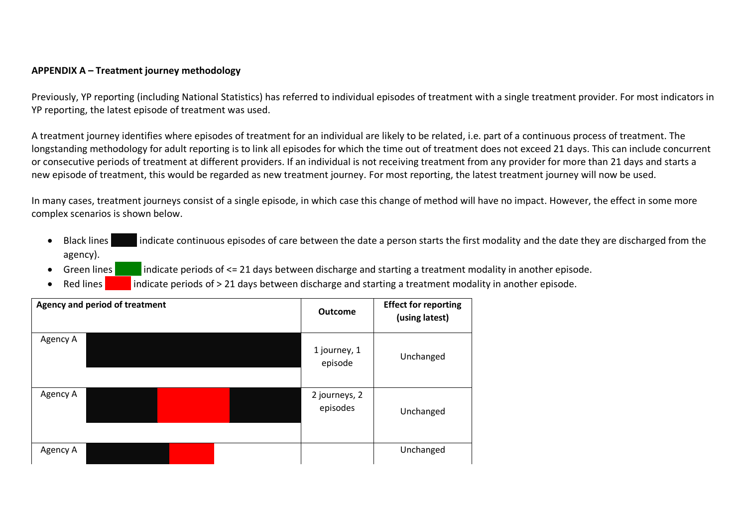## **APPENDIX A – Treatment journey methodology**

Previously, YP reporting (including National Statistics) has referred to individual episodes of treatment with a single treatment provider. For most indicators in YP reporting, the latest episode of treatment was used.

A treatment journey identifies where episodes of treatment for an individual are likely to be related, i.e. part of a continuous process of treatment. The longstanding methodology for adult reporting is to link all episodes for which the time out of treatment does not exceed 21 days. This can include concurrent or consecutive periods of treatment at different providers. If an individual is not receiving treatment from any provider for more than 21 days and starts a new episode of treatment, this would be regarded as new treatment journey. For most reporting, the latest treatment journey will now be used.

In many cases, treatment journeys consist of a single episode, in which case this change of method will have no impact. However, the effect in some more complex scenarios is shown below.

- Black lines indicate continuous episodes of care between the date a person starts the first modality and the date they are discharged from the agency).
	- Green lines indicate periods of  $\leq 21$  days between discharge and starting a treatment modality in another episode.
	- Red lines indicate periods of > 21 days between discharge and starting a treatment modality in another episode.

|          | <b>Agency and period of treatment</b> |  | <b>Outcome</b>            | <b>Effect for reporting</b><br>(using latest) |
|----------|---------------------------------------|--|---------------------------|-----------------------------------------------|
| Agency A |                                       |  | 1 journey, 1<br>episode   | Unchanged                                     |
| Agency A |                                       |  | 2 journeys, 2<br>episodes | Unchanged                                     |
| Agency A |                                       |  |                           | Unchanged                                     |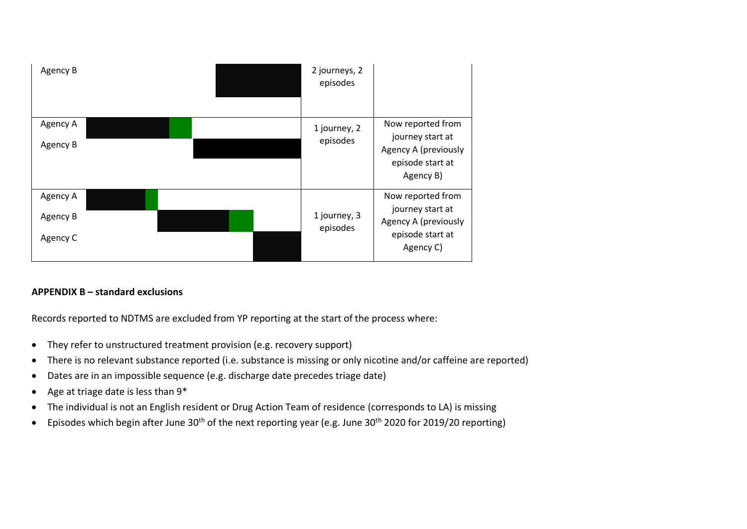| Agency B |  | 2 journeys, 2<br>episodes |                                                                                                |
|----------|--|---------------------------|------------------------------------------------------------------------------------------------|
| Agency A |  | 1 journey, 2              | Now reported from<br>journey start at<br>Agency A (previously                                  |
| Agency B |  | episodes                  |                                                                                                |
|          |  |                           | episode start at<br>Agency B)                                                                  |
|          |  |                           |                                                                                                |
| Agency A |  | 1 journey, 3<br>episodes  | Now reported from<br>journey start at<br>Agency A (previously<br>episode start at<br>Agency C) |
| Agency B |  |                           |                                                                                                |
| Agency C |  |                           |                                                                                                |

## **APPENDIX B – standard exclusions**

Records reported to NDTMS are excluded from YP reporting at the start of the process where:

- They refer to unstructured treatment provision (e.g. recovery support)
- There is no relevant substance reported (i.e. substance is missing or only nicotine and/or caffeine are reported)
- Dates are in an impossible sequence (e.g. discharge date precedes triage date)
- Age at triage date is less than 9\*
- The individual is not an English resident or Drug Action Team of residence (corresponds to LA) is missing
- Episodes which begin after June 30<sup>th</sup> of the next reporting year (e.g. June 30<sup>th</sup> 2020 for 2019/20 reporting)